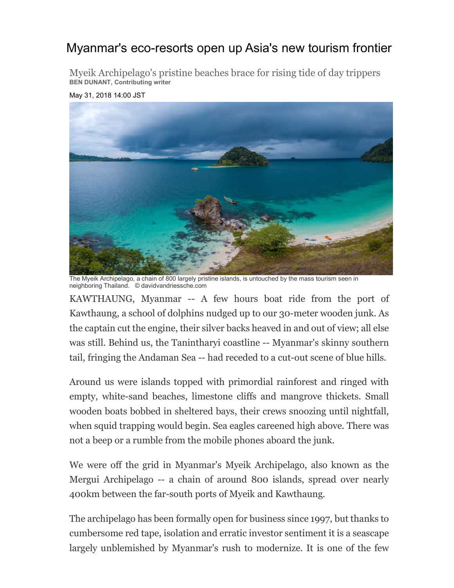## Myanmar's eco-resorts open up Asia's new tourism frontier

Myeik Archipelago's pristine beaches brace for rising tide of day trippers **BEN DUNANT, Contributing writer**

## May 31, 2018 14:00 JST



The Myeik Archipelago, a chain of 800 largely pristine islands, is untouched by the mass tourism seen in neighboring Thailand. © davidvandriessche.com

KAWTHAUNG, Myanmar -- A few hours boat ride from the port of Kawthaung, a school of dolphins nudged up to our 30-meter wooden junk. As the captain cut the engine, their silver backs heaved in and out of view; all else was still. Behind us, the Tanintharyi coastline -- Myanmar's skinny southern tail, fringing the Andaman Sea -- had receded to a cut-out scene of blue hills.

Around us were islands topped with primordial rainforest and ringed with empty, white-sand beaches, limestone cliffs and mangrove thickets. Small wooden boats bobbed in sheltered bays, their crews snoozing until nightfall, when squid trapping would begin. Sea eagles careened high above. There was not a beep or a rumble from the mobile phones aboard the junk.

We were off the grid in Myanmar's Myeik Archipelago, also known as the Mergui Archipelago -- a chain of around 800 islands, spread over nearly 400km between the far-south ports of Myeik and Kawthaung.

The archipelago has been formally open for business since 1997, but thanks to cumbersome red tape, isolation and erratic investor sentiment it is a seascape largely unblemished by Myanmar's rush to modernize. It is one of the few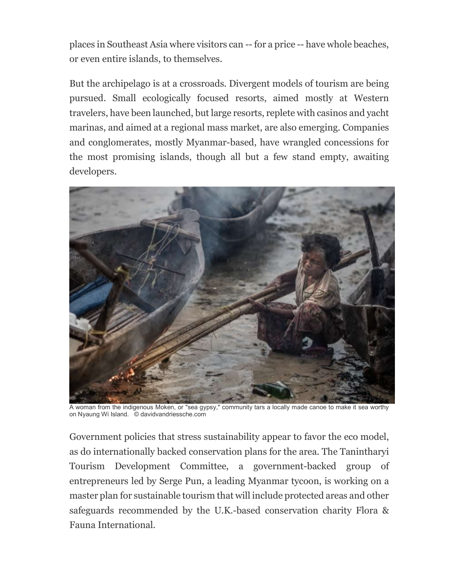places in Southeast Asia where visitors can -- for a price -- have whole beaches, or even entire islands, to themselves.

But the archipelago is at a crossroads. Divergent models of tourism are being pursued. Small ecologically focused resorts, aimed mostly at Western travelers, have been launched, but large resorts, replete with casinos and yacht marinas, and aimed at a regional mass market, are also emerging. Companies and conglomerates, mostly Myanmar-based, have wrangled concessions for the most promising islands, though all but a few stand empty, awaiting developers.



A woman from the indigenous Moken, or "sea gypsy," community tars a locally made canoe to make it sea worthy on Nyaung Wi Island. © davidvandriessche.com

Government policies that stress sustainability appear to favor the eco model, as do internationally backed conservation plans for the area. The Tanintharyi Tourism Development Committee, a government-backed group of entrepreneurs led by Serge Pun, a leading Myanmar tycoon, is working on a master plan for sustainable tourism that will include protected areas and other safeguards recommended by the U.K.-based conservation charity Flora & Fauna International.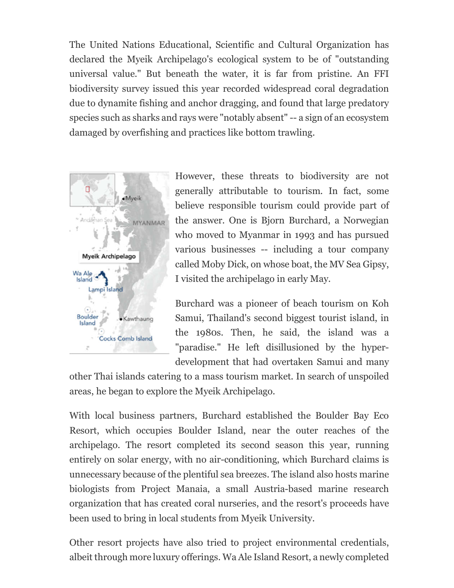The United Nations Educational, Scientific and Cultural Organization has declared the Myeik Archipelago's ecological system to be of "outstanding universal value." But beneath the water, it is far from pristine. An FFI biodiversity survey issued this year recorded widespread coral degradation due to dynamite fishing and anchor dragging, and found that large predatory species such as sharks and rays were "notably absent" -- a sign of an ecosystem damaged by overfishing and practices like bottom trawling.



However, these threats to biodiversity are not generally attributable to tourism. In fact, some believe responsible tourism could provide part of the answer. One is Bjorn Burchard, a Norwegian who moved to Myanmar in 1993 and has pursued various businesses -- including a tour company called Moby Dick, on whose boat, the MV Sea Gipsy, I visited the archipelago in early May.

Burchard was a pioneer of beach tourism on Koh Samui, Thailand's second biggest tourist island, in the 1980s. Then, he said, the island was a "paradise." He left disillusioned by the hyperdevelopment that had overtaken Samui and many

other Thai islands catering to a mass tourism market. In search of unspoiled areas, he began to explore the Myeik Archipelago.

With local business partners, Burchard established the Boulder Bay Eco Resort, which occupies Boulder Island, near the outer reaches of the archipelago. The resort completed its second season this year, running entirely on solar energy, with no air-conditioning, which Burchard claims is unnecessary because of the plentiful sea breezes. The island also hosts marine biologists from Project Manaia, a small Austria-based marine research organization that has created coral nurseries, and the resort's proceeds have been used to bring in local students from Myeik University.

Other resort projects have also tried to project environmental credentials, albeit through more luxury offerings. Wa Ale Island Resort, a newly completed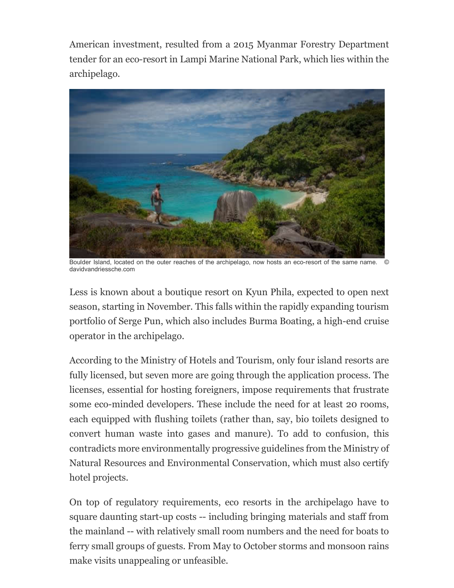American investment, resulted from a 2015 Myanmar Forestry Department tender for an eco-resort in Lampi Marine National Park, which lies within the archipelago.



Boulder Island, located on the outer reaches of the archipelago, now hosts an eco-resort of the same name. davidvandriessche.com

Less is known about a boutique resort on Kyun Phila, expected to open next season, starting in November. This falls within the rapidly expanding tourism portfolio of Serge Pun, which also includes Burma Boating, a high-end cruise operator in the archipelago.

According to the Ministry of Hotels and Tourism, only four island resorts are fully licensed, but seven more are going through the application process. The licenses, essential for hosting foreigners, impose requirements that frustrate some eco-minded developers. These include the need for at least 20 rooms, each equipped with flushing toilets (rather than, say, bio toilets designed to convert human waste into gases and manure). To add to confusion, this contradicts more environmentally progressive guidelines from the Ministry of Natural Resources and Environmental Conservation, which must also certify hotel projects.

On top of regulatory requirements, eco resorts in the archipelago have to square daunting start-up costs -- including bringing materials and staff from the mainland -- with relatively small room numbers and the need for boats to ferry small groups of guests. From May to October storms and monsoon rains make visits unappealing or unfeasible.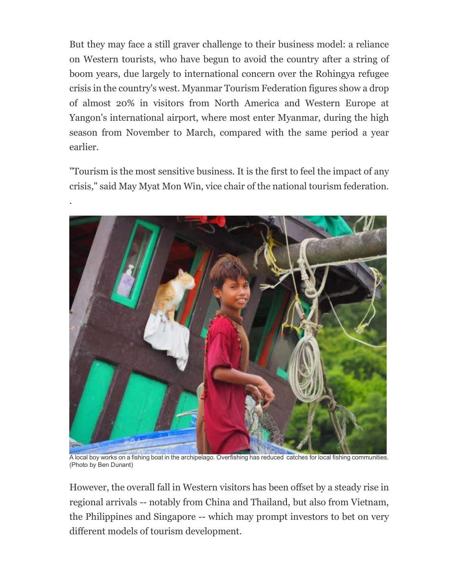But they may face a still graver challenge to their business model: a reliance on Western tourists, who have begun to avoid the country after a string of boom years, due largely to international concern over the Rohingya refugee crisis in the country's west. Myanmar Tourism Federation figures show a drop of almost 20% in visitors from North America and Western Europe at Yangon's international airport, where most enter Myanmar, during the high season from November to March, compared with the same period a year earlier.

"Tourism is the most sensitive business. It is the first to feel the impact of any crisis," said May Myat Mon Win, vice chair of the national tourism federation.

.



A local boy works on a fishing boat in the archipelago. Overfishing has reduced catches for local fishing communities. (Photo by Ben Dunant)

However, the overall fall in Western visitors has been offset by a steady rise in regional arrivals -- notably from China and Thailand, but also from Vietnam, the Philippines and Singapore -- which may prompt investors to bet on very different models of tourism development.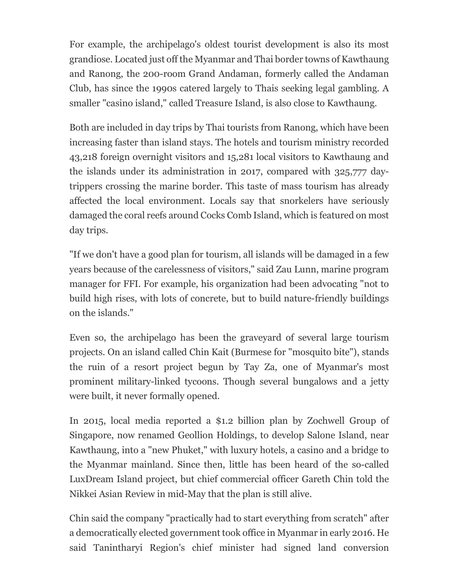For example, the archipelago's oldest tourist development is also its most grandiose. Located just off the Myanmar and Thai border towns of Kawthaung and Ranong, the 200-room Grand Andaman, formerly called the Andaman Club, has since the 1990s catered largely to Thais seeking legal gambling. A smaller "casino island," called Treasure Island, is also close to Kawthaung.

Both are included in day trips by Thai tourists from Ranong, which have been increasing faster than island stays. The hotels and tourism ministry recorded 43,218 foreign overnight visitors and 15,281 local visitors to Kawthaung and the islands under its administration in 2017, compared with 325,777 daytrippers crossing the marine border. This taste of mass tourism has already affected the local environment. Locals say that snorkelers have seriously damaged the coral reefs around Cocks Comb Island, which is featured on most day trips.

"If we don't have a good plan for tourism, all islands will be damaged in a few years because of the carelessness of visitors," said Zau Lunn, marine program manager for FFI. For example, his organization had been advocating "not to build high rises, with lots of concrete, but to build nature-friendly buildings on the islands."

Even so, the archipelago has been the graveyard of several large tourism projects. On an island called Chin Kait (Burmese for "mosquito bite"), stands the ruin of a resort project begun by Tay Za, one of Myanmar's most prominent military-linked tycoons. Though several bungalows and a jetty were built, it never formally opened.

In 2015, local media reported a \$1.2 billion plan by Zochwell Group of Singapore, now renamed Geollion Holdings, to develop Salone Island, near Kawthaung, into a "new Phuket," with luxury hotels, a casino and a bridge to the Myanmar mainland. Since then, little has been heard of the so-called LuxDream Island project, but chief commercial officer Gareth Chin told the Nikkei Asian Review in mid-May that the plan is still alive.

Chin said the company "practically had to start everything from scratch" after a democratically elected government took office in Myanmar in early 2016. He said Tanintharyi Region's chief minister had signed land conversion